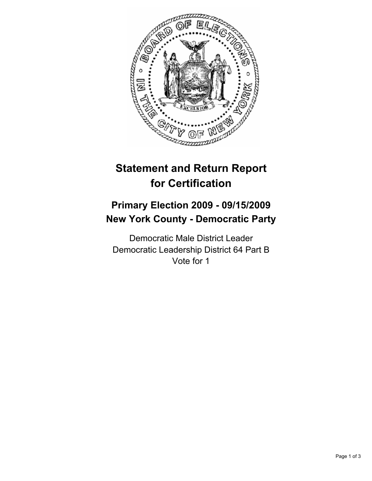

# **Statement and Return Report for Certification**

# **Primary Election 2009 - 09/15/2009 New York County - Democratic Party**

Democratic Male District Leader Democratic Leadership District 64 Part B Vote for 1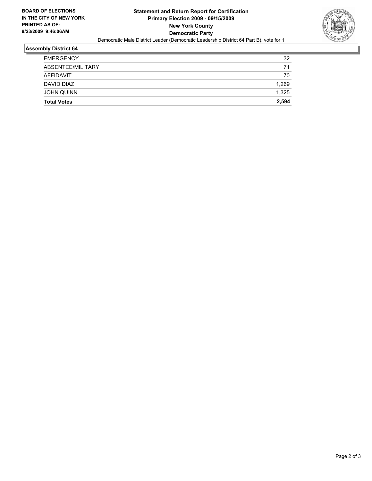

#### **Assembly District 64**

| <b>Total Votes</b> | 2,594 |
|--------------------|-------|
| <b>JOHN QUINN</b>  | 1,325 |
| DAVID DIAZ         | 1,269 |
| AFFIDAVIT          | 70    |
| ABSENTEE/MILITARY  | 71    |
| <b>EMERGENCY</b>   | 32    |
|                    |       |